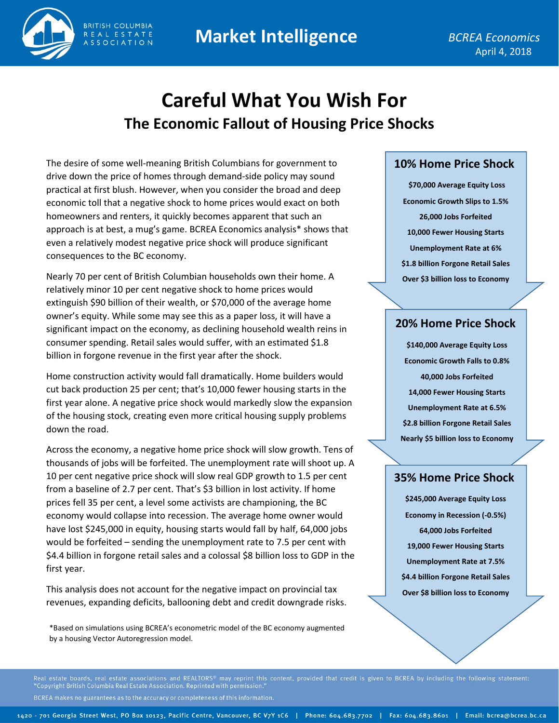## **Market Intelligence**



**SSOCIATION** 

# **Careful What You Wish For The Economic Fallout of Housing Price Shocks**

The desire of some well-meaning British Columbians for government to drive down the price of homes through demand-side policy may sound practical at first blush. However, when you consider the broad and deep economic toll that a negative shock to home prices would exact on both homeowners and renters, it quickly becomes apparent that such an approach is at best, a mug's game. BCREA Economics analysis\* shows that even a relatively modest negative price shock will produce significant consequences to the BC economy.

Nearly 70 per cent of British Columbian households own their home. A relatively minor 10 per cent negative shock to home prices would extinguish \$90 billion of their wealth, or \$70,000 of the average home owner's equity. While some may see this as a paper loss, it will have a significant impact on the economy, as declining household wealth reins in consumer spending. Retail sales would suffer, with an estimated \$1.8 billion in forgone revenue in the first year after the shock.

Home construction activity would fall dramatically. Home builders would cut back production 25 per cent; that's 10,000 fewer housing starts in the first year alone. A negative price shock would markedly slow the expansion of the housing stock, creating even more critical housing supply problems down the road.

Across the economy, a negative home price shock will slow growth. Tens of thousands of jobs will be forfeited. The unemployment rate will shoot up. A 10 per cent negative price shock will slow real GDP growth to 1.5 per cent from a baseline of 2.7 per cent. That's \$3 billion in lost activity. If home prices fell 35 per cent, a level some activists are championing, the BC economy would collapse into recession. The average home owner would have lost \$245,000 in equity, housing starts would fall by half, 64,000 jobs would be forfeited – sending the unemployment rate to 7.5 per cent with \$4.4 billion in forgone retail sales and a colossal \$8 billion loss to GDP in the first year.

This analysis does not account for the negative impact on provincial tax revenues, expanding deficits, ballooning debt and credit downgrade risks.

\*Based on simulations using BCREA's econometric model of the BC economy augmented by a housing Vector Autoregression model.

#### **10% Home Price Shock**

**\$70,000 Average Equity Loss Economic Growth Slips to 1.5% 26,000 Jobs Forfeited 10,000 Fewer Housing Starts Unemployment Rate at 6% \$1.8 billion Forgone Retail Sales Over \$3 billion loss to Economy**

## **20% Home Price Shock**

**\$140,000 Average Equity Loss Economic Growth Falls to 0.8% 40,000 Jobs Forfeited 14,000 Fewer Housing Starts Unemployment Rate at 6.5% \$2.8 billion Forgone Retail Sales Nearly \$5 billion loss to Economy**

## **35% Home Price Shock**

**\$245,000 Average Equity Loss Economy in Recession (-0.5%) 64,000 Jobs Forfeited 19,000 Fewer Housing Starts Unemployment Rate at 7.5% \$4.4 billion Forgone Retail Sales Over \$8 billion loss to Economy**

Real estate boards, real estate associations and REALTORS® may reprint this content, provided that credit is given to BCREA by including the following statement:

BCREA makes no guarantees as to the accuracy or completeness of this information.